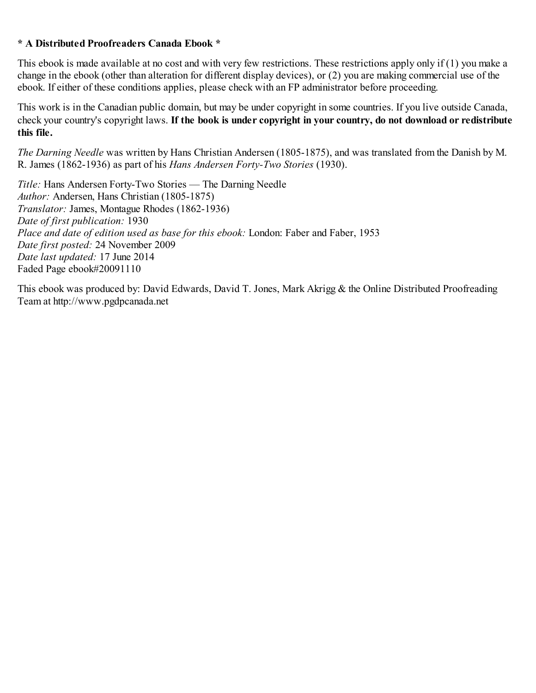## **\* A Distributed Proofreaders Canada Ebook \***

This ebook is made available at no cost and with very few restrictions. These restrictions apply only if (1) you make a change in the ebook (other than alteration for different display devices), or (2) you are making commercial use of the ebook. If either of these conditions applies, please check with an FP administrator before proceeding.

This work is in the Canadian public domain, but may be under copyright in some countries. If you live outside Canada, check your country's copyright laws. **If the book is under copyright in your country, do not download or redistribute this file.**

*The Darning Needle* was written by Hans Christian Andersen (1805-1875), and was translated from the Danish by M. R. James (1862-1936) as part of his *Hans Andersen Forty-Two Stories* (1930).

*Title:* Hans Andersen Forty-Two Stories — The Darning Needle *Author:* Andersen, Hans Christian (1805-1875) *Translator:* James, Montague Rhodes (1862-1936) *Date of first publication:* 1930 *Place and date of edition used as base for this ebook:* London: Faber and Faber, 1953 *Date first posted:* 24 November 2009 *Date last updated:* 17 June 2014 Faded Page ebook#20091110

This ebook was produced by: David Edwards, David T. Jones, Mark Akrigg & the Online Distributed Proofreading Team at http://www.pgdpcanada.net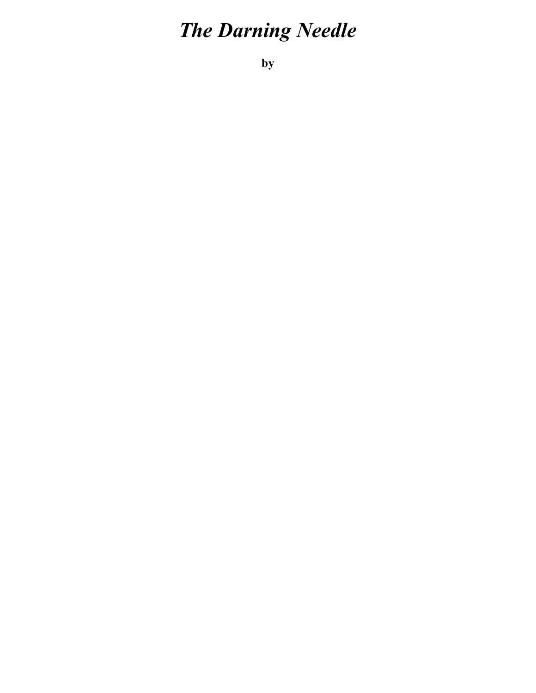## *The Darning Needle*

**by**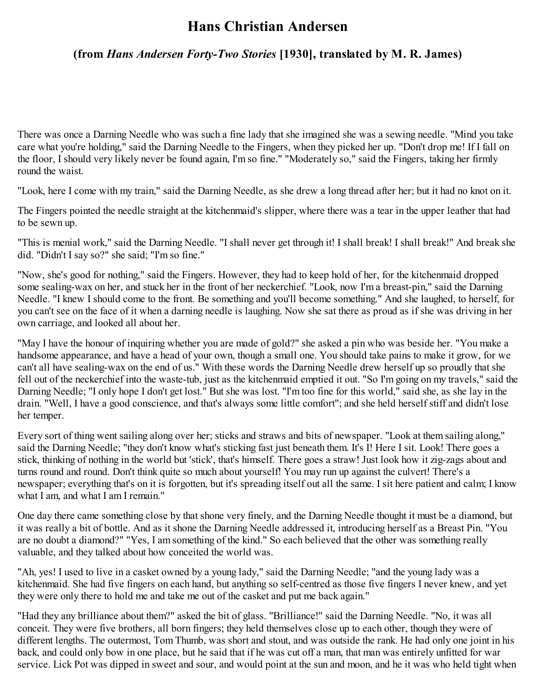## **Hans Christian Andersen**

## **(from** *Hans Andersen Forty-Two Stories* **[1930], translated by M. R. James)**

There was once a Darning Needle who was such a fine lady that she imagined she was a sewing needle. "Mind you take care what you're holding," said the Darning Needle to the Fingers, when they picked her up. "Don't drop me! If I fall on the floor, I should very likely never be found again, I'm so fine." "Moderately so," said the Fingers, taking her firmly round the waist.

"Look, here I come with my train," said the Darning Needle, as she drew a long thread after her; but it had no knot on it.

The Fingers pointed the needle straight at the kitchenmaid's slipper, where there was a tear in the upper leather that had to be sewn up.

"This is menial work," said the Darning Needle. "I shall never get through it! I shall break! I shall break!" And break she did. "Didn't I say so?" she said; "I'm so fine."

"Now, she's good for nothing," said the Fingers. However, they had to keep hold of her, for the kitchenmaid dropped some sealing-wax on her, and stuck her in the front of her neckerchief. "Look, now I'm a breast-pin," said the Darning Needle. "I knew I should come to the front. Be something and you'll become something." And she laughed, to herself, for you can't see on the face of it when a darning needle is laughing. Now she sat there as proud as if she was driving in her own carriage, and looked all about her.

"May I have the honour of inquiring whether you are made of gold?" she asked a pin who was beside her. "You make a handsome appearance, and have a head of your own, though a small one. You should take pains to make it grow, for we can't all have sealing-wax on the end of us." With these words the Darning Needle drew herself up so proudly that she fell out of the neckerchief into the waste-tub, just as the kitchenmaid emptied it out. "So I'm going on my travels," said the Darning Needle; "I only hope I don't get lost." But she was lost. "I'm too fine for this world," said she, as she lay in the drain. "Well, I have a good conscience, and that's always some little comfort"; and she held herself stiff and didn't lose her temper.

Every sort of thing went sailing along over her; sticks and straws and bits of newspaper. "Look at them sailing along," said the Darning Needle; "they don't know what's sticking fast just beneath them. It's I! Here I sit. Look! There goes a stick, thinking of nothing in the world but 'stick', that's himself. There goes a straw! Just look how it zig-zags about and turns round and round. Don't think quite so much about yourself! You may run up against the culvert! There's a newspaper; everything that's on it is forgotten, but it's spreading itself out all the same. I sit here patient and calm; I know what I am, and what I am I remain."

One day there came something close by that shone very finely, and the Darning Needle thought it must be a diamond, but it was really a bit of bottle. And as it shone the Darning Needle addressed it, introducing herself as a Breast Pin. "You are no doubt a diamond?" "Yes, I am something of the kind." So each believed that the other was something really valuable, and they talked about how conceited the world was.

"Ah, yes! I used to live in a casket owned by a young lady," said the Darning Needle; "and the young lady was a kitchenmaid. She had five fingers on each hand, but anything so self-centred as those five fingers I never knew, and yet they were only there to hold me and take me out of the casket and put me back again."

"Had they any brilliance about them?" asked the bit of glass. "Brilliance!" said the Darning Needle. "No, it was all conceit. They were five brothers, all born fingers; they held themselves close up to each other, though they were of different lengths. The outermost, Tom Thumb, was short and stout, and was outside the rank. He had only one joint in his back, and could only bow in one place, but he said that if he was cut off a man, that man was entirely unfitted for war service. Lick Pot was dipped in sweet and sour, and would point at the sun and moon, and he it was who held tight when